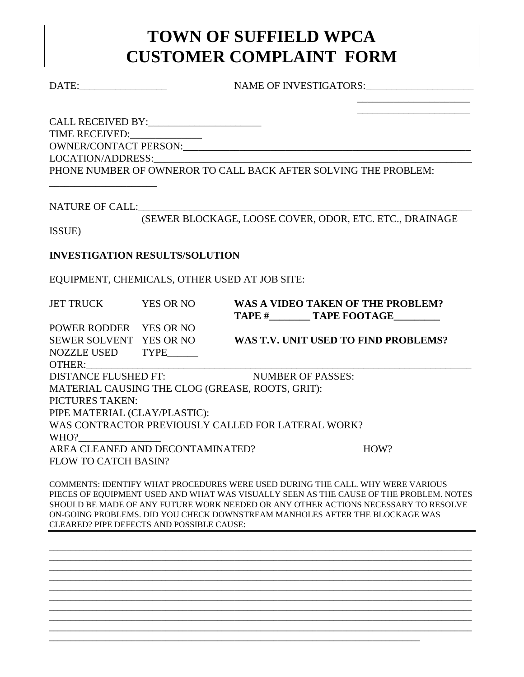## **TOWN OF SUFFIELD WPCA CUSTOMER COMPLAINT FORM**

DATE: NAME OF INVESTIGATORS:

\_\_\_\_\_\_\_\_\_\_\_\_\_\_\_\_\_\_\_\_\_\_ \_\_\_\_\_\_\_\_\_\_\_\_\_\_\_\_\_\_\_\_\_\_

CALL RECEIVED BY:\_\_\_\_\_\_\_\_\_\_\_\_\_\_\_\_\_\_\_\_\_\_ TIME RECEIVED:\_\_\_\_\_\_\_\_\_\_\_\_\_\_ OWNER/CONTACT PERSON:\_\_\_\_\_\_\_\_\_\_\_\_\_\_\_\_\_\_\_\_\_\_\_\_\_\_\_\_\_\_\_\_\_\_\_\_\_\_\_\_\_\_\_\_\_\_\_\_\_\_\_\_\_\_\_\_ LOCATION/ADDRESS:\_\_\_\_\_\_\_\_\_\_\_\_\_\_\_\_\_\_\_\_\_\_\_\_\_\_\_\_\_\_\_\_\_\_\_\_\_\_\_\_\_\_\_\_\_\_\_\_\_\_\_\_\_\_\_\_\_\_\_\_\_\_ PHONE NUMBER OF OWNEROR TO CALL BACK AFTER SOLVING THE PROBLEM:

NATURE OF CALL:

\_\_\_\_\_\_\_\_\_\_\_\_\_\_\_\_\_\_\_\_\_

(SEWER BLOCKAGE, LOOSE COVER, ODOR, ETC. ETC., DRAINAGE

ISSUE)

## **INVESTIGATION RESULTS/SOLUTION**

EQUIPMENT, CHEMICALS, OTHER USED AT JOB SITE:

JET TRUCK YES OR NO **WAS A VIDEO TAKEN OF THE PROBLEM? TAPE # TAPE FOOTAGE** POWER RODDER YES OR NO SEWER SOLVENT YES OR NO **WAS T.V. UNIT USED TO FIND PROBLEMS?** NOZZLE USED TYPE OTHER: DISTANCE FLUSHED FT: NUMBER OF PASSES: MATERIAL CAUSING THE CLOG (GREASE, ROOTS, GRIT): PICTURES TAKEN: PIPE MATERIAL (CLAY/PLASTIC): WAS CONTRACTOR PREVIOUSLY CALLED FOR LATERAL WORK? WHO? AREA CLEANED AND DECONTAMINATED? HOW? FLOW TO CATCH BASIN?

COMMENTS: IDENTIFY WHAT PROCEDURES WERE USED DURING THE CALL. WHY WERE VARIOUS PIECES OF EQUIPMENT USED AND WHAT WAS VISUALLY SEEN AS THE CAUSE OF THE PROBLEM. NOTES SHOULD BE MADE OF ANY FUTURE WORK NEEDED OR ANY OTHER ACTIONS NECESSARY TO RESOLVE ON-GOING PROBLEMS. DID YOU CHECK DOWNSTREAM MANHOLES AFTER THE BLOCKAGE WAS CLEARED? PIPE DEFECTS AND POSSIBLE CAUSE:

\_\_\_\_\_\_\_\_\_\_\_\_\_\_\_\_\_\_\_\_\_\_\_\_\_\_\_\_\_\_\_\_\_\_\_\_\_\_\_\_\_\_\_\_\_\_\_\_\_\_\_\_\_\_\_\_\_\_\_\_\_\_\_\_\_\_\_\_\_\_\_\_\_\_\_\_\_\_\_\_\_\_\_\_\_\_\_\_\_\_\_\_\_\_\_\_\_\_ \_\_\_\_\_\_\_\_\_\_\_\_\_\_\_\_\_\_\_\_\_\_\_\_\_\_\_\_\_\_\_\_\_\_\_\_\_\_\_\_\_\_\_\_\_\_\_\_\_\_\_\_\_\_\_\_\_\_\_\_\_\_\_\_\_\_\_\_\_\_\_\_\_\_\_\_\_\_\_\_\_\_\_\_\_\_\_\_\_\_\_\_\_\_\_\_\_\_ \_\_\_\_\_\_\_\_\_\_\_\_\_\_\_\_\_\_\_\_\_\_\_\_\_\_\_\_\_\_\_\_\_\_\_\_\_\_\_\_\_\_\_\_\_\_\_\_\_\_\_\_\_\_\_\_\_\_\_\_\_\_\_\_\_\_\_\_\_\_\_\_\_\_\_\_\_\_\_\_\_\_\_\_\_\_\_\_\_\_\_\_\_\_\_\_\_\_ \_\_\_\_\_\_\_\_\_\_\_\_\_\_\_\_\_\_\_\_\_\_\_\_\_\_\_\_\_\_\_\_\_\_\_\_\_\_\_\_\_\_\_\_\_\_\_\_\_\_\_\_\_\_\_\_\_\_\_\_\_\_\_\_\_\_\_\_\_\_\_\_\_\_\_\_\_\_\_\_\_\_\_\_\_\_\_\_\_\_\_\_\_\_\_\_\_\_ \_\_\_\_\_\_\_\_\_\_\_\_\_\_\_\_\_\_\_\_\_\_\_\_\_\_\_\_\_\_\_\_\_\_\_\_\_\_\_\_\_\_\_\_\_\_\_\_\_\_\_\_\_\_\_\_\_\_\_\_\_\_\_\_\_\_\_\_\_\_\_\_\_\_\_\_\_\_\_\_\_\_\_\_\_\_\_\_\_\_\_\_\_\_\_\_\_\_ \_\_\_\_\_\_\_\_\_\_\_\_\_\_\_\_\_\_\_\_\_\_\_\_\_\_\_\_\_\_\_\_\_\_\_\_\_\_\_\_\_\_\_\_\_\_\_\_\_\_\_\_\_\_\_\_\_\_\_\_\_\_\_\_\_\_\_\_\_\_\_\_\_\_\_\_\_\_\_\_\_\_\_\_\_\_\_\_\_\_\_\_\_\_\_\_\_\_ \_\_\_\_\_\_\_\_\_\_\_\_\_\_\_\_\_\_\_\_\_\_\_\_\_\_\_\_\_\_\_\_\_\_\_\_\_\_\_\_\_\_\_\_\_\_\_\_\_\_\_\_\_\_\_\_\_\_\_\_\_\_\_\_\_\_\_\_\_\_\_\_\_\_\_\_\_\_\_\_\_\_\_\_\_\_\_\_\_\_\_\_\_\_\_\_\_\_ \_\_\_\_\_\_\_\_\_\_\_\_\_\_\_\_\_\_\_\_\_\_\_\_\_\_\_\_\_\_\_\_\_\_\_\_\_\_\_\_\_\_\_\_\_\_\_\_\_\_\_\_\_\_\_\_\_\_\_\_\_\_\_\_\_\_\_\_\_\_\_\_\_\_\_\_\_\_\_\_\_\_\_\_\_\_\_\_\_\_\_\_\_\_\_\_\_\_ \_\_\_\_\_\_\_\_\_\_\_\_\_\_\_\_\_\_\_\_\_\_\_\_\_\_\_\_\_\_\_\_\_\_\_\_\_\_\_\_\_\_\_\_\_\_\_\_\_\_\_\_\_\_\_\_\_\_\_\_\_\_\_\_\_\_\_\_\_\_\_\_\_\_\_\_\_\_\_\_\_\_\_\_\_\_\_\_\_\_\_\_\_\_\_\_\_\_

\_\_\_\_\_\_\_\_\_\_\_\_\_\_\_\_\_\_\_\_\_\_\_\_\_\_\_\_\_\_\_\_\_\_\_\_\_\_\_\_\_\_\_\_\_\_\_\_\_\_\_\_\_\_\_\_\_\_\_\_\_\_\_\_\_\_\_\_\_\_\_\_\_\_\_\_\_\_\_\_\_\_\_\_\_\_